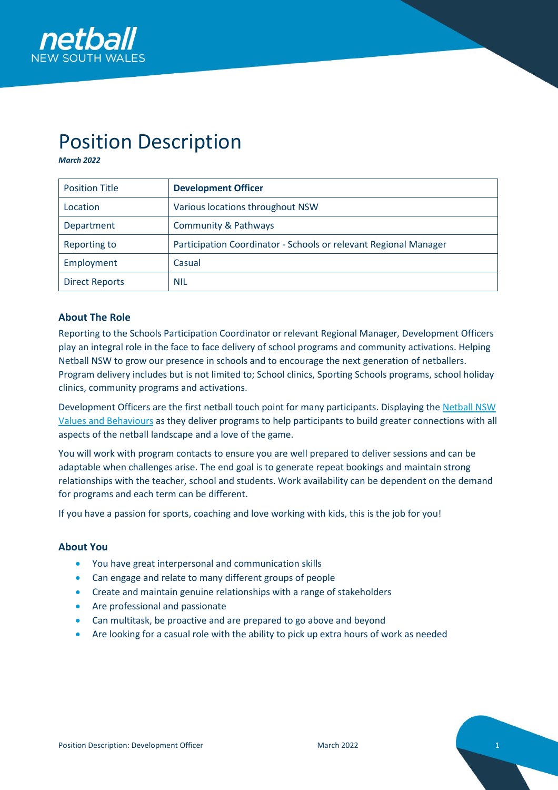

# Position Description

*March 2022*

| <b>Position Title</b> | <b>Development Officer</b>                                       |
|-----------------------|------------------------------------------------------------------|
| Location              | Various locations throughout NSW                                 |
| Department            | <b>Community &amp; Pathways</b>                                  |
| Reporting to          | Participation Coordinator - Schools or relevant Regional Manager |
| Employment            | Casual                                                           |
| <b>Direct Reports</b> | <b>NIL</b>                                                       |

## **About The Role**

Reporting to the Schools Participation Coordinator or relevant Regional Manager, Development Officers play an integral role in the face to face delivery of school programs and community activations. Helping Netball NSW to grow our presence in schools and to encourage the next generation of netballers. Program delivery includes but is not limited to; School clinics, Sporting Schools programs, school holiday clinics, community programs and activations.

Development Officers are the first netball touch point for many participants. Displaying th[e Netball NSW](https://nsw.netball.com.au/sites/nsw/files/2020-06/NetballNSW_StrategicPlan_2020-2022_January2020.pdf)  [Values and Behaviours](https://nsw.netball.com.au/sites/nsw/files/2020-06/NetballNSW_StrategicPlan_2020-2022_January2020.pdf) as they deliver programs to help participants to build greater connections with all aspects of the netball landscape and a love of the game.

You will work with program contacts to ensure you are well prepared to deliver sessions and can be adaptable when challenges arise. The end goal is to generate repeat bookings and maintain strong relationships with the teacher, school and students. Work availability can be dependent on the demand for programs and each term can be different.

If you have a passion for sports, coaching and love working with kids, this is the job for you!

#### **About You**

- You have great interpersonal and communication skills
- Can engage and relate to many different groups of people
- Create and maintain genuine relationships with a range of stakeholders
- Are professional and passionate
- Can multitask, be proactive and are prepared to go above and beyond
- Are looking for a casual role with the ability to pick up extra hours of work as needed